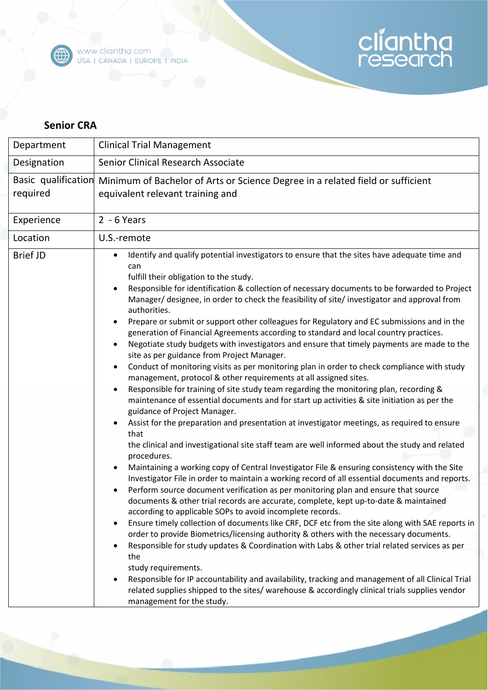

## cliantha<br>research

## **Senior CRA**

| Department      | <b>Clinical Trial Management</b>                                                                                                                                                                                                                                                                                                                                                                                                                                                                                                                                                                                                                                                                                                                                                                                                                                                                                                                                                                                                                                                                                                                                                                                                                                                                                                                                                                                                                                                                                                                                                                                                                                                                                                                                                                                                                                                                                                                                                                                                                                                                                                                                                                                                                                                                                                                                  |
|-----------------|-------------------------------------------------------------------------------------------------------------------------------------------------------------------------------------------------------------------------------------------------------------------------------------------------------------------------------------------------------------------------------------------------------------------------------------------------------------------------------------------------------------------------------------------------------------------------------------------------------------------------------------------------------------------------------------------------------------------------------------------------------------------------------------------------------------------------------------------------------------------------------------------------------------------------------------------------------------------------------------------------------------------------------------------------------------------------------------------------------------------------------------------------------------------------------------------------------------------------------------------------------------------------------------------------------------------------------------------------------------------------------------------------------------------------------------------------------------------------------------------------------------------------------------------------------------------------------------------------------------------------------------------------------------------------------------------------------------------------------------------------------------------------------------------------------------------------------------------------------------------------------------------------------------------------------------------------------------------------------------------------------------------------------------------------------------------------------------------------------------------------------------------------------------------------------------------------------------------------------------------------------------------------------------------------------------------------------------------------------------------|
| Designation     | Senior Clinical Research Associate                                                                                                                                                                                                                                                                                                                                                                                                                                                                                                                                                                                                                                                                                                                                                                                                                                                                                                                                                                                                                                                                                                                                                                                                                                                                                                                                                                                                                                                                                                                                                                                                                                                                                                                                                                                                                                                                                                                                                                                                                                                                                                                                                                                                                                                                                                                                |
| required        | Basic qualification Minimum of Bachelor of Arts or Science Degree in a related field or sufficient<br>equivalent relevant training and                                                                                                                                                                                                                                                                                                                                                                                                                                                                                                                                                                                                                                                                                                                                                                                                                                                                                                                                                                                                                                                                                                                                                                                                                                                                                                                                                                                                                                                                                                                                                                                                                                                                                                                                                                                                                                                                                                                                                                                                                                                                                                                                                                                                                            |
| Experience      | $2 - 6$ Years                                                                                                                                                                                                                                                                                                                                                                                                                                                                                                                                                                                                                                                                                                                                                                                                                                                                                                                                                                                                                                                                                                                                                                                                                                                                                                                                                                                                                                                                                                                                                                                                                                                                                                                                                                                                                                                                                                                                                                                                                                                                                                                                                                                                                                                                                                                                                     |
| Location        | U.S.-remote                                                                                                                                                                                                                                                                                                                                                                                                                                                                                                                                                                                                                                                                                                                                                                                                                                                                                                                                                                                                                                                                                                                                                                                                                                                                                                                                                                                                                                                                                                                                                                                                                                                                                                                                                                                                                                                                                                                                                                                                                                                                                                                                                                                                                                                                                                                                                       |
| <b>Brief JD</b> | Identify and qualify potential investigators to ensure that the sites have adequate time and<br>$\bullet$<br>can<br>fulfill their obligation to the study.<br>Responsible for identification & collection of necessary documents to be forwarded to Project<br>$\bullet$<br>Manager/ designee, in order to check the feasibility of site/ investigator and approval from<br>authorities.<br>Prepare or submit or support other colleagues for Regulatory and EC submissions and in the<br>generation of Financial Agreements according to standard and local country practices.<br>Negotiate study budgets with investigators and ensure that timely payments are made to the<br>site as per guidance from Project Manager.<br>Conduct of monitoring visits as per monitoring plan in order to check compliance with study<br>٠<br>management, protocol & other requirements at all assigned sites.<br>Responsible for training of site study team regarding the monitoring plan, recording &<br>maintenance of essential documents and for start up activities & site initiation as per the<br>guidance of Project Manager.<br>Assist for the preparation and presentation at investigator meetings, as required to ensure<br>that<br>the clinical and investigational site staff team are well informed about the study and related<br>procedures.<br>Maintaining a working copy of Central Investigator File & ensuring consistency with the Site<br>Investigator File in order to maintain a working record of all essential documents and reports.<br>Perform source document verification as per monitoring plan and ensure that source<br>documents & other trial records are accurate, complete, kept up-to-date & maintained<br>according to applicable SOPs to avoid incomplete records.<br>Ensure timely collection of documents like CRF, DCF etc from the site along with SAE reports in<br>order to provide Biometrics/licensing authority & others with the necessary documents.<br>Responsible for study updates & Coordination with Labs & other trial related services as per<br>the<br>study requirements.<br>Responsible for IP accountability and availability, tracking and management of all Clinical Trial<br>related supplies shipped to the sites/ warehouse & accordingly clinical trials supplies vendor<br>management for the study. |